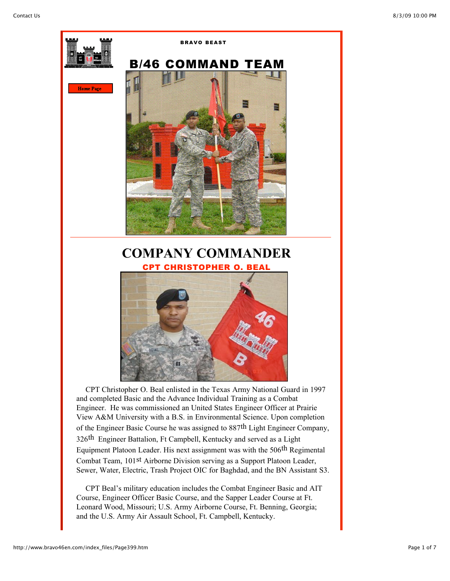

Engineer. He was commissioned an United States Engineer Officer at Prairie View A&M University with a B.S. in Environmental Science. Upon completion of the Engineer Basic Course he was assigned to 887th Light Engineer Company, 326th Engineer Battalion, Ft Campbell, Kentucky and served as a Light Equipment Platoon Leader. His next assignment was with the 506th Regimental Combat Team, 101st Airborne Division serving as a Support Platoon Leader, Sewer, Water, Electric, Trash Project OIC for Baghdad, and the BN Assistant S3.

 CPT Beal's military education includes the Combat Engineer Basic and AIT Course, Engineer Officer Basic Course, and the Sapper Leader Course at Ft. Leonard Wood, Missouri; U.S. Army Airborne Course, Ft. Benning, Georgia; and the U.S. Army Air Assault School, Ft. Campbell, Kentucky.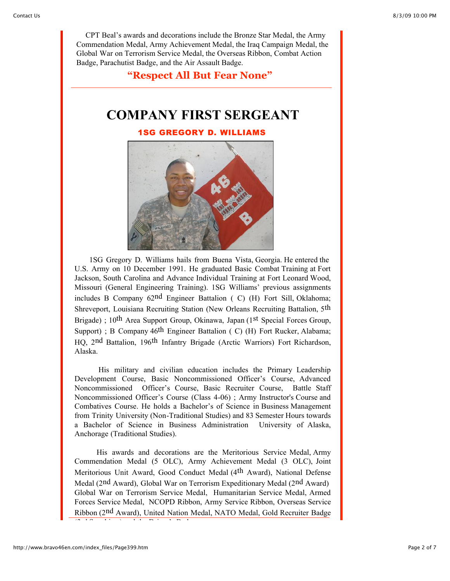CPT Beal's awards and decorations include the Bronze Star Medal, the Army Commendation Medal, Army Achievement Medal, the Iraq Campaign Medal, the Global War on Terrorism Service Medal, the Overseas Ribbon, Combat Action Badge, Parachutist Badge, and the Air Assault Badge.

**"Respect All But Fear None"**

## **COMPANY FIRST SERGEANT**

1SG GREGORY D. WILLIAMS



 1SG Gregory D. Williams hails from Buena Vista, Georgia. He entered the U.S. Army on 10 December 1991. He graduated Basic Combat Training at Fort Jackson, South Carolina and Advance Individual Training at Fort Leonard Wood, Missouri (General Engineering Training). 1SG Williams' previous assignments includes B Company 62nd Engineer Battalion ( C) (H) Fort Sill, Oklahoma; Shreveport, Louisiana Recruiting Station (New Orleans Recruiting Battalion, 5th Brigade) ; 10<sup>th</sup> Area Support Group, Okinawa, Japan (1<sup>st</sup> Special Forces Group, Support) ; B Company 46<sup>th</sup> Engineer Battalion ( C) (H) Fort Rucker, Alabama; HQ, 2nd Battalion, 196th Infantry Brigade (Arctic Warriors) Fort Richardson, Alaska.

 His military and civilian education includes the Primary Leadership Development Course, Basic Noncommissioned Officer's Course, Advanced Noncommissioned Officer's Course, Basic Recruiter Course, Battle Staff Noncommissioned Officer's Course (Class 4-06) ; Army Instructor's Course and Combatives Course. He holds a Bachelor's of Science in Business Management from Trinity University (Non-Traditional Studies) and 83 Semester Hours towards a Bachelor of Science in Business Administration University of Alaska, Anchorage (Traditional Studies).

 His awards and decorations are the Meritorious Service Medal, Army Commendation Medal (5 OLC), Army Achievement Medal (3 OLC), Joint Meritorious Unit Award, Good Conduct Medal (4th Award), National Defense Medal (2nd Award), Global War on Terrorism Expeditionary Medal (2nd Award) Global War on Terrorism Service Medal, Humanitarian Service Medal, Armed Forces Service Medal, NCOPD Ribbon, Army Service Ribbon, Overseas Service Ribbon (2nd Award), United Nation Medal, NATO Medal, Gold Recruiter Badge

(3rd Sapphires) and the Driver's Badge.